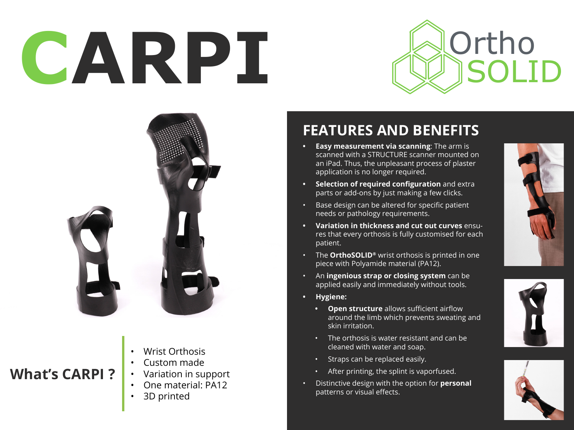# CARPI **Ortho**





### **What's CARPI ?**

- Wrist Orthosis
- Custom made
- Variation in support
	- One material: PA12
	- 3D printed

## **FEATURES AND BENEFITS**

- **• Easy measurement via scanning**: The arm is scanned with a STRUCTURE scanner mounted on an iPad. Thus, the unpleasant process of plaster application is no longer required.
- **• Selection of required configuration** and extra parts or add-ons by just making a few clicks.
- Base design can be altered for specific patient needs or pathology requirements.
- **• Variation in thickness and cut out curves** ensures that every orthosis is fully customised for each patient.
- The **OrthoSOLID®** wrist orthosis is printed in one piece with Polyamide material (PA12).
- An **ingenious strap or closing system** can be applied easily and immediately without tools.
- **• Hygiene:**
	- **• Open structure** allows sufficient airflow around the limb which prevents sweating and skin irritation.
	- The orthosis is water resistant and can be cleaned with water and soap.
	- Straps can be replaced easily.
	- After printing, the splint is vaporfused.
- Distinctive design with the option for **personal** patterns or visual effects.